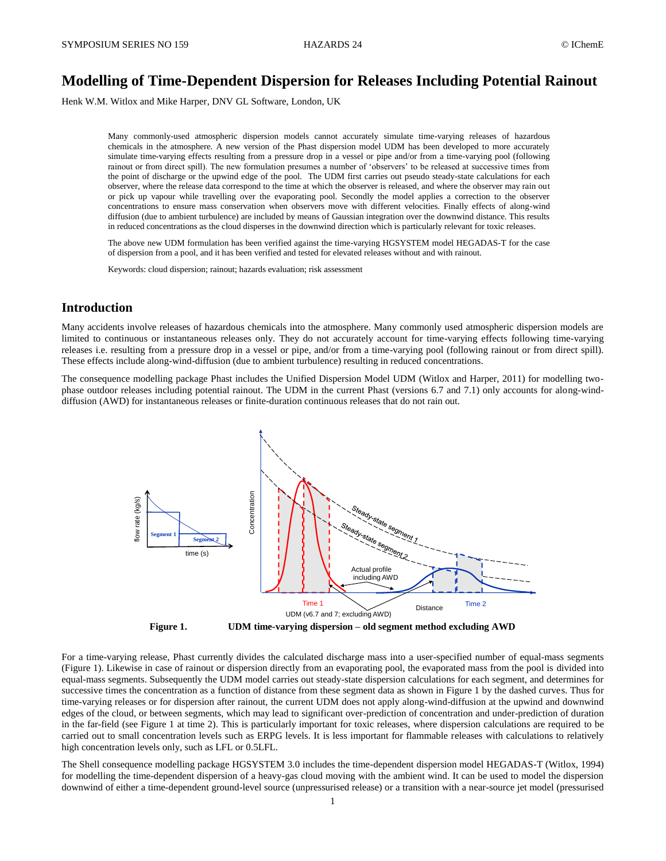# **Modelling of Time-Dependent Dispersion for Releases Including Potential Rainout**

Henk W.M. Witlox and Mike Harper, DNV GL Software, London, UK

Many commonly-used atmospheric dispersion models cannot accurately simulate time-varying releases of hazardous chemicals in the atmosphere. A new version of the Phast dispersion model UDM has been developed to more accurately simulate time-varying effects resulting from a pressure drop in a vessel or pipe and/or from a time-varying pool (following rainout or from direct spill). The new formulation presumes a number of 'observers' to be released at successive times from the point of discharge or the upwind edge of the pool. The UDM first carries out pseudo steady-state calculations for each observer, where the release data correspond to the time at which the observer is released, and where the observer may rain out or pick up vapour while travelling over the evaporating pool. Secondly the model applies a correction to the observer concentrations to ensure mass conservation when observers move with different velocities. Finally effects of along-wind diffusion (due to ambient turbulence) are included by means of Gaussian integration over the downwind distance. This results in reduced concentrations as the cloud disperses in the downwind direction which is particularly relevant for toxic releases.

The above new UDM formulation has been verified against the time-varying HGSYSTEM model HEGADAS-T for the case of dispersion from a pool, and it has been verified and tested for elevated releases without and with rainout.

Keywords: cloud dispersion; rainout; hazards evaluation; risk assessment

# **Introduction**

Many accidents involve releases of hazardous chemicals into the atmosphere. Many commonly used atmospheric dispersion models are limited to continuous or instantaneous releases only. They do not accurately account for time-varying effects following time-varying releases i.e. resulting from a pressure drop in a vessel or pipe, and/or from a time-varying pool (following rainout or from direct spill). These effects include along-wind-diffusion (due to ambient turbulence) resulting in reduced concentrations.

The consequence modelling package Phast includes the Unified Dispersion Model UDM (Witlox and Harper, 2011) for modelling twophase outdoor releases including potential rainout. The UDM in the current Phast (versions 6.7 and 7.1) only accounts for along-winddiffusion (AWD) for instantaneous releases or finite-duration continuous releases that do not rain out.



**Figure 1. UDM time-varying dispersion – old segment method excluding AWD**

For a time-varying release, Phast currently divides the calculated discharge mass into a user-specified number of equal-mass segments (Figure 1). Likewise in case of rainout or dispersion directly from an evaporating pool, the evaporated mass from the pool is divided into equal-mass segments. Subsequently the UDM model carries out steady-state dispersion calculations for each segment, and determines for successive times the concentration as a function of distance from these segment data as shown in Figure 1 by the dashed curves. Thus for time-varying releases or for dispersion after rainout, the current UDM does not apply along-wind-diffusion at the upwind and downwind edges of the cloud, or between segments, which may lead to significant over-prediction of concentration and under-prediction of duration in the far-field (see Figure 1 at time 2). This is particularly important for toxic releases, where dispersion calculations are required to be carried out to small concentration levels such as ERPG levels. It is less important for flammable releases with calculations to relatively high concentration levels only, such as LFL or 0.5LFL.

The Shell consequence modelling package HGSYSTEM 3.0 includes the time-dependent dispersion model HEGADAS-T (Witlox, 1994) for modelling the time-dependent dispersion of a heavy-gas cloud moving with the ambient wind. It can be used to model the dispersion downwind of either a time-dependent ground-level source (unpressurised release) or a transition with a near-source jet model (pressurised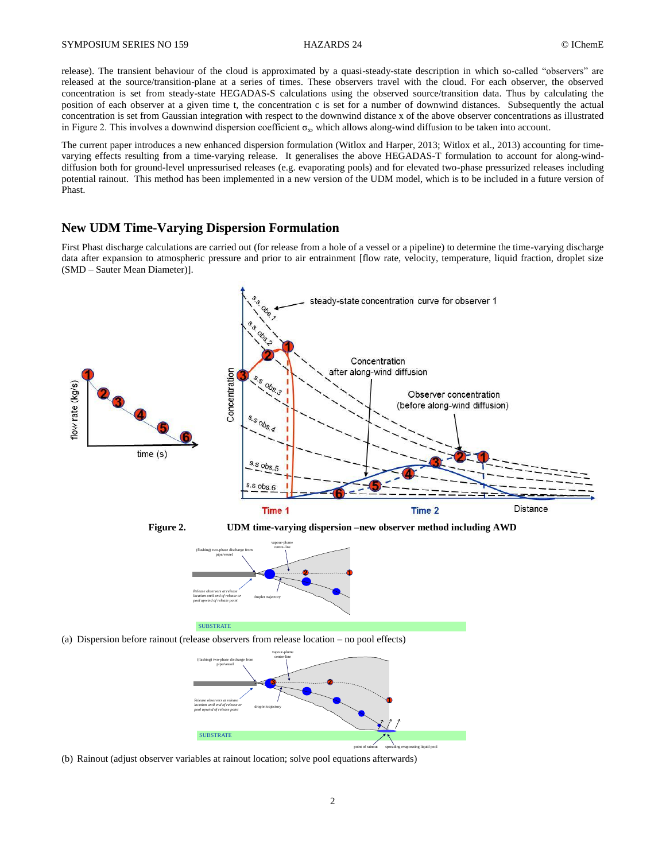#### SYMPOSIUM SERIES NO 159 HAZARDS 24 CIChemE

release). The transient behaviour of the cloud is approximated by a quasi-steady-state description in which so-called "observers" are released at the source/transition-plane at a series of times. These observers travel with the cloud. For each observer, the observed concentration is set from steady-state HEGADAS-S calculations using the observed source/transition data. Thus by calculating the position of each observer at a given time t, the concentration c is set for a number of downwind distances. Subsequently the actual concentration is set from Gaussian integration with respect to the downwind distance x of the above observer concentrations as illustrated in Figure 2. This involves a downwind dispersion coefficient  $\sigma_x$ , which allows along-wind diffusion to be taken into account.

The current paper introduces a new enhanced dispersion formulation (Witlox and Harper, 2013; Witlox et al., 2013) accounting for timevarying effects resulting from a time-varying release. It generalises the above HEGADAS-T formulation to account for along-winddiffusion both for ground-level unpressurised releases (e.g. evaporating pools) and for elevated two-phase pressurized releases including potential rainout. This method has been implemented in a new version of the UDM model, which is to be included in a future version of Phast.

# **New UDM Time-Varying Dispersion Formulation**

First Phast discharge calculations are carried out (for release from a hole of a vessel or a pipeline) to determine the time-varying discharge data after expansion to atmospheric pressure and prior to air entrainment [flow rate, velocity, temperature, liquid fraction, droplet size (SMD – Sauter Mean Diameter)].



**Figure 2. UDM time-varying dispersion –new observer method including AWD**



(a) Dispersion before rainout (release observers from release location – no pool effects)



(b) Rainout (adjust observer variables at rainout location; solve pool equations afterwards)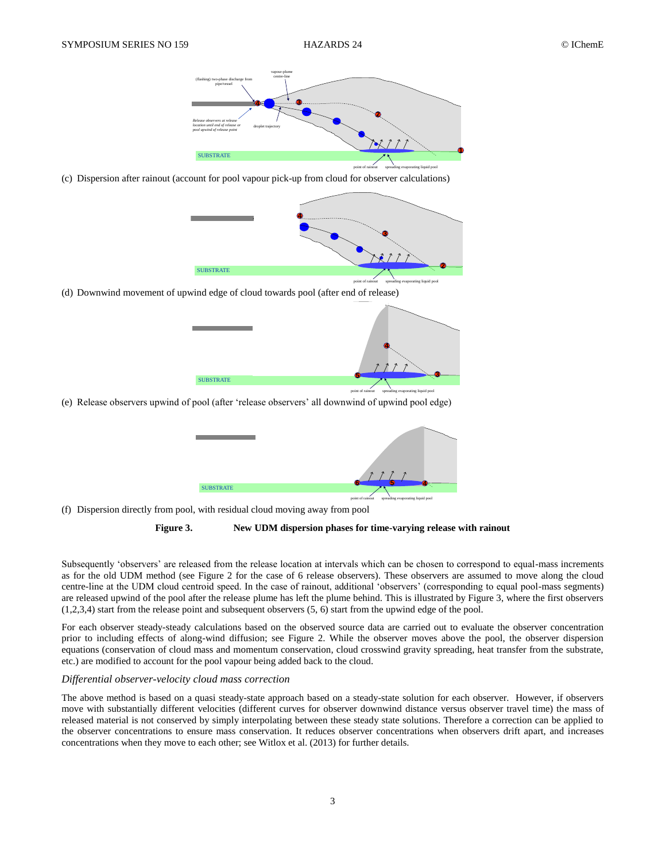

(c) Dispersion after rainout (account for pool vapour pick-up from cloud for observer calculations)



(d) Downwind movement of upwind edge of cloud towards pool (after end of release)



(e) Release observers upwind of pool (after 'release observers' all downwind of upwind pool edge)

| <b>SUBSTRATE</b> |                                                       |
|------------------|-------------------------------------------------------|
|                  | point of rainout<br>spreading evaporating liquid pool |

(f) Dispersion directly from pool, with residual cloud moving away from pool



Subsequently 'observers' are released from the release location at intervals which can be chosen to correspond to equal-mass increments as for the old UDM method (see Figure 2 for the case of 6 release observers). These observers are assumed to move along the cloud centre-line at the UDM cloud centroid speed. In the case of rainout, additional 'observers' (corresponding to equal pool-mass segments) are released upwind of the pool after the release plume has left the plume behind. This is illustrated by Figure 3, where the first observers (1,2,3,4) start from the release point and subsequent observers (5, 6) start from the upwind edge of the pool.

For each observer steady-steady calculations based on the observed source data are carried out to evaluate the observer concentration prior to including effects of along-wind diffusion; see Figure 2. While the observer moves above the pool, the observer dispersion equations (conservation of cloud mass and momentum conservation, cloud crosswind gravity spreading, heat transfer from the substrate, etc.) are modified to account for the pool vapour being added back to the cloud.

#### *Differential observer-velocity cloud mass correction*

The above method is based on a quasi steady-state approach based on a steady-state solution for each observer. However, if observers move with substantially different velocities (different curves for observer downwind distance versus observer travel time) the mass of released material is not conserved by simply interpolating between these steady state solutions. Therefore a correction can be applied to the observer concentrations to ensure mass conservation. It reduces observer concentrations when observers drift apart, and increases concentrations when they move to each other; see Witlox et al. (2013) for further details.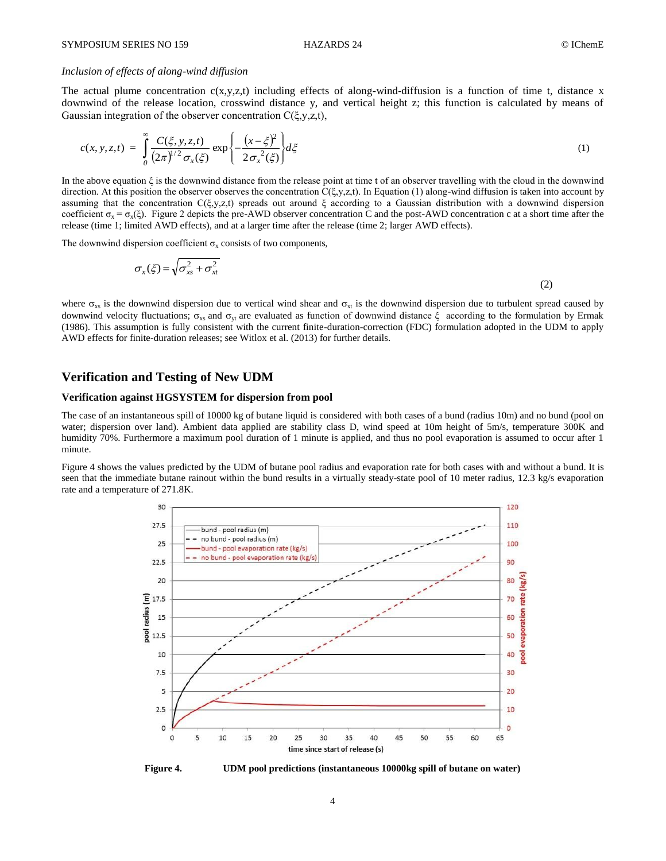### *Inclusion of effects of along-wind diffusion*

The actual plume concentration  $c(x,y,z,t)$  including effects of along-wind-diffusion is a function of time t, distance x downwind of the release location, crosswind distance y, and vertical height z; this function is calculated by means of Gaussian integration of the observer concentration C(ξ,y,z,t),

$$
c(x, y, z, t) = \int_{0}^{\infty} \frac{C(\xi, y, z, t)}{(2\pi)^{1/2} \sigma_x(\xi)} \exp\left\{-\frac{(x-\xi)^2}{2\sigma_x^2(\xi)}\right\} d\xi \tag{1}
$$

In the above equation ξ is the downwind distance from the release point at time t of an observer travelling with the cloud in the downwind direction. At this position the observer observes the concentration  $C(\xi, y, z, t)$ . In Equation (1) along-wind diffusion is taken into account by assuming that the concentration  $C(\xi, y, z, t)$  spreads out around  $\xi$  according to a Gaussian distribution with a downwind dispersion coefficient  $\sigma_x = \sigma_x(\xi)$ . Figure 2 depicts the pre-AWD observer concentration C and the post-AWD concentration c at a short time after the release (time 1; limited AWD effects), and at a larger time after the release (time 2; larger AWD effects).

The downwind dispersion coefficient  $\sigma_x$  consists of two components,

$$
\sigma_x(\xi) = \sqrt{\sigma_{xs}^2 + \sigma_{xt}^2}
$$
 (2)

where  $\sigma_{xs}$  is the downwind dispersion due to vertical wind shear and  $\sigma_{xt}$  is the downwind dispersion due to turbulent spread caused by downwind velocity fluctuations;  $\sigma_{xs}$  and  $\sigma_{yt}$  are evaluated as function of downwind distance ξ according to the formulation by Ermak (1986). This assumption is fully consistent with the current finite-duration-correction (FDC) formulation adopted in the UDM to apply AWD effects for finite-duration releases; see Witlox et al. (2013) for further details.

# **Verification and Testing of New UDM**

### **Verification against HGSYSTEM for dispersion from pool**

The case of an instantaneous spill of 10000 kg of butane liquid is considered with both cases of a bund (radius 10m) and no bund (pool on water; dispersion over land). Ambient data applied are stability class D, wind speed at 10m height of 5m/s, temperature 300K and humidity 70%. Furthermore a maximum pool duration of 1 minute is applied, and thus no pool evaporation is assumed to occur after 1 minute.

Figure 4 shows the values predicted by the UDM of butane pool radius and evaporation rate for both cases with and without a bund. It is seen that the immediate butane rainout within the bund results in a virtually steady-state pool of 10 meter radius, 12.3 kg/s evaporation rate and a temperature of 271.8K.



**Figure 4. UDM pool predictions (instantaneous 10000kg spill of butane on water)**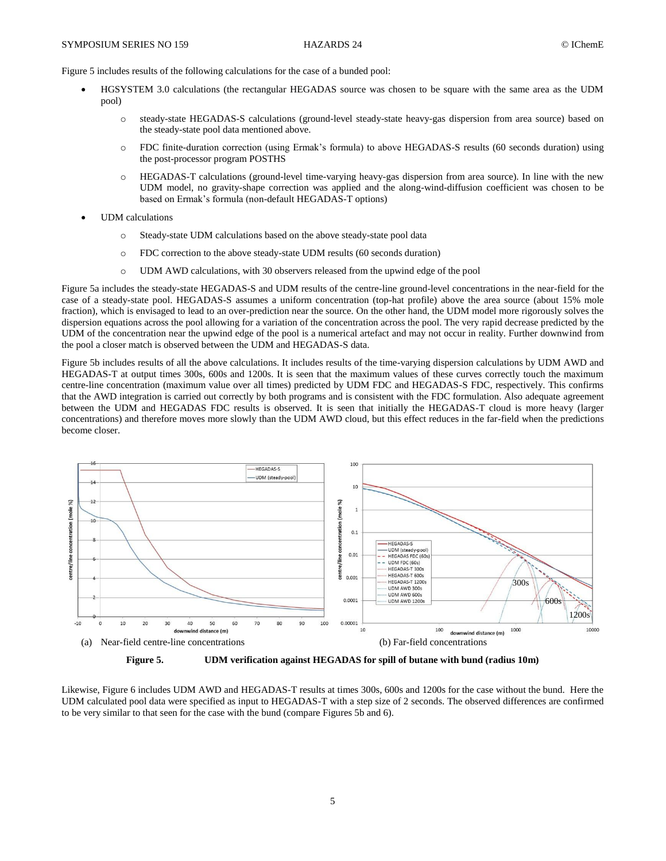Figure 5 includes results of the following calculations for the case of a bunded pool:

- HGSYSTEM 3.0 calculations (the rectangular HEGADAS source was chosen to be square with the same area as the UDM pool)
	- o steady-state HEGADAS-S calculations (ground-level steady-state heavy-gas dispersion from area source) based on the steady-state pool data mentioned above.
	- o FDC finite-duration correction (using Ermak's formula) to above HEGADAS-S results (60 seconds duration) using the post-processor program POSTHS
	- o HEGADAS-T calculations (ground-level time-varying heavy-gas dispersion from area source). In line with the new UDM model, no gravity-shape correction was applied and the along-wind-diffusion coefficient was chosen to be based on Ermak's formula (non-default HEGADAS-T options)
- UDM calculations
	- o Steady-state UDM calculations based on the above steady-state pool data
	- o FDC correction to the above steady-state UDM results (60 seconds duration)
	- o UDM AWD calculations, with 30 observers released from the upwind edge of the pool

Figure 5a includes the steady-state HEGADAS-S and UDM results of the centre-line ground-level concentrations in the near-field for the case of a steady-state pool. HEGADAS-S assumes a uniform concentration (top-hat profile) above the area source (about 15% mole fraction), which is envisaged to lead to an over-prediction near the source. On the other hand, the UDM model more rigorously solves the dispersion equations across the pool allowing for a variation of the concentration across the pool. The very rapid decrease predicted by the UDM of the concentration near the upwind edge of the pool is a numerical artefact and may not occur in reality. Further downwind from the pool a closer match is observed between the UDM and HEGADAS-S data.

Figure 5b includes results of all the above calculations. It includes results of the time-varying dispersion calculations by UDM AWD and HEGADAS-T at output times 300s, 600s and 1200s. It is seen that the maximum values of these curves correctly touch the maximum centre-line concentration (maximum value over all times) predicted by UDM FDC and HEGADAS-S FDC, respectively. This confirms that the AWD integration is carried out correctly by both programs and is consistent with the FDC formulation. Also adequate agreement between the UDM and HEGADAS FDC results is observed. It is seen that initially the HEGADAS-T cloud is more heavy (larger concentrations) and therefore moves more slowly than the UDM AWD cloud, but this effect reduces in the far-field when the predictions become closer.



**Figure 5. UDM verification against HEGADAS for spill of butane with bund (radius 10m)**

Likewise, Figure 6 includes UDM AWD and HEGADAS-T results at times 300s, 600s and 1200s for the case without the bund. Here the UDM calculated pool data were specified as input to HEGADAS-T with a step size of 2 seconds. The observed differences are confirmed to be very similar to that seen for the case with the bund (compare Figures 5b and 6).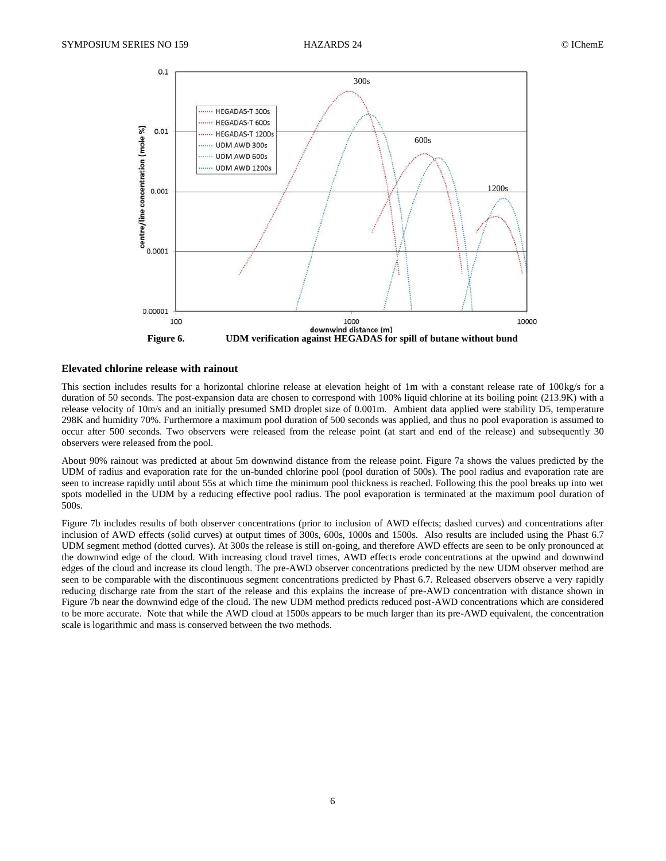

### **Elevated chlorine release with rainout**

This section includes results for a horizontal chlorine release at elevation height of 1m with a constant release rate of 100kg/s for a duration of 50 seconds. The post-expansion data are chosen to correspond with 100% liquid chlorine at its boiling point (213.9K) with a release velocity of 10m/s and an initially presumed SMD droplet size of 0.001m. Ambient data applied were stability D5, temperature 298K and humidity 70%. Furthermore a maximum pool duration of 500 seconds was applied, and thus no pool evaporation is assumed to occur after 500 seconds. Two observers were released from the release point (at start and end of the release) and subsequently 30 observers were released from the pool.

About 90% rainout was predicted at about 5m downwind distance from the release point. Figure 7a shows the values predicted by the UDM of radius and evaporation rate for the un-bunded chlorine pool (pool duration of 500s). The pool radius and evaporation rate are seen to increase rapidly until about 55s at which time the minimum pool thickness is reached. Following this the pool breaks up into wet spots modelled in the UDM by a reducing effective pool radius. The pool evaporation is terminated at the maximum pool duration of 500s.

Figure 7b includes results of both observer concentrations (prior to inclusion of AWD effects; dashed curves) and concentrations after inclusion of AWD effects (solid curves) at output times of 300s, 600s, 1000s and 1500s. Also results are included using the Phast 6.7 UDM segment method (dotted curves). At 300s the release is still on-going, and therefore AWD effects are seen to be only pronounced at the downwind edge of the cloud. With increasing cloud travel times, AWD effects erode concentrations at the upwind and downwind edges of the cloud and increase its cloud length. The pre-AWD observer concentrations predicted by the new UDM observer method are seen to be comparable with the discontinuous segment concentrations predicted by Phast 6.7. Released observers observe a very rapidly reducing discharge rate from the start of the release and this explains the increase of pre-AWD concentration with distance shown in Figure 7b near the downwind edge of the cloud. The new UDM method predicts reduced post-AWD concentrations which are considered to be more accurate. Note that while the AWD cloud at 1500s appears to be much larger than its pre-AWD equivalent, the concentration scale is logarithmic and mass is conserved between the two methods.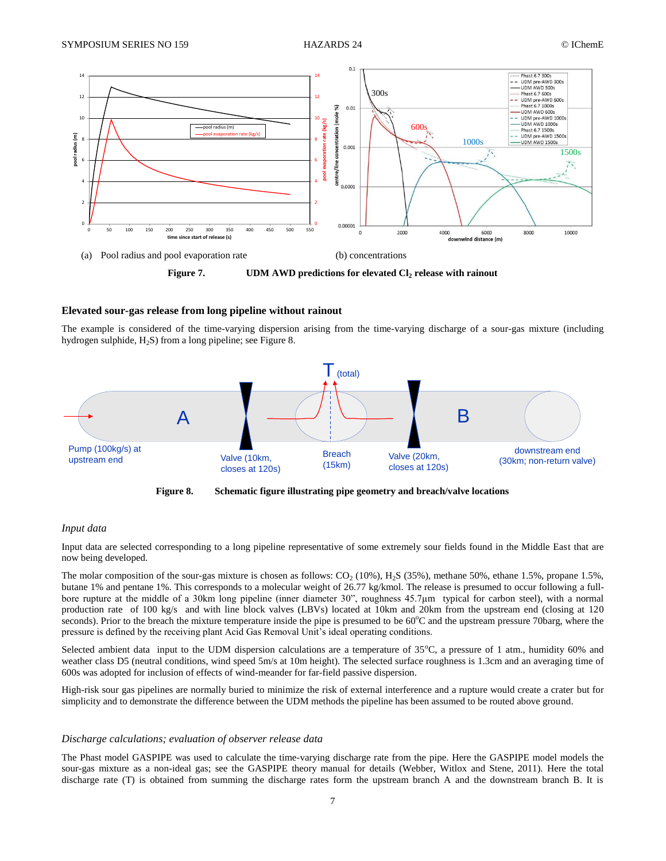

### **Elevated sour-gas release from long pipeline without rainout**

The example is considered of the time-varying dispersion arising from the time-varying discharge of a sour-gas mixture (including hydrogen sulphide, H<sub>2</sub>S) from a long pipeline; see Figure 8.



**Figure 8. Schematic figure illustrating pipe geometry and breach/valve locations**

#### *Input data*

Input data are selected corresponding to a long pipeline representative of some extremely sour fields found in the Middle East that are now being developed.

The molar composition of the sour-gas mixture is chosen as follows:  $CO_2$  (10%),  $H_2S$  (35%), methane 50%, ethane 1.5%, propane 1.5%, butane 1% and pentane 1%. This corresponds to a molecular weight of 26.77 kg/kmol. The release is presumed to occur following a fullbore rupture at the middle of a 30km long pipeline (inner diameter 30", roughness 45.7μm typical for carbon steel), with a normal production rate of 100 kg/s and with line block valves (LBVs) located at 10km and 20km from the upstream end (closing at 120 seconds). Prior to the breach the mixture temperature inside the pipe is presumed to be  $60^{\circ}$ C and the upstream pressure 70barg, where the pressure is defined by the receiving plant Acid Gas Removal Unit's ideal operating conditions.

Selected ambient data input to the UDM dispersion calculations are a temperature of  $35^{\circ}$ C, a pressure of 1 atm., humidity 60% and weather class D5 (neutral conditions, wind speed 5m/s at 10m height). The selected surface roughness is 1.3cm and an averaging time of 600s was adopted for inclusion of effects of wind-meander for far-field passive dispersion.

High-risk sour gas pipelines are normally buried to minimize the risk of external interference and a rupture would create a crater but for simplicity and to demonstrate the difference between the UDM methods the pipeline has been assumed to be routed above ground.

#### *Discharge calculations; evaluation of observer release data*

The Phast model GASPIPE was used to calculate the time-varying discharge rate from the pipe. Here the GASPIPE model models the sour-gas mixture as a non-ideal gas; see the GASPIPE theory manual for details (Webber, Witlox and Stene, 2011). Here the total discharge rate (T) is obtained from summing the discharge rates form the upstream branch A and the downstream branch B. It is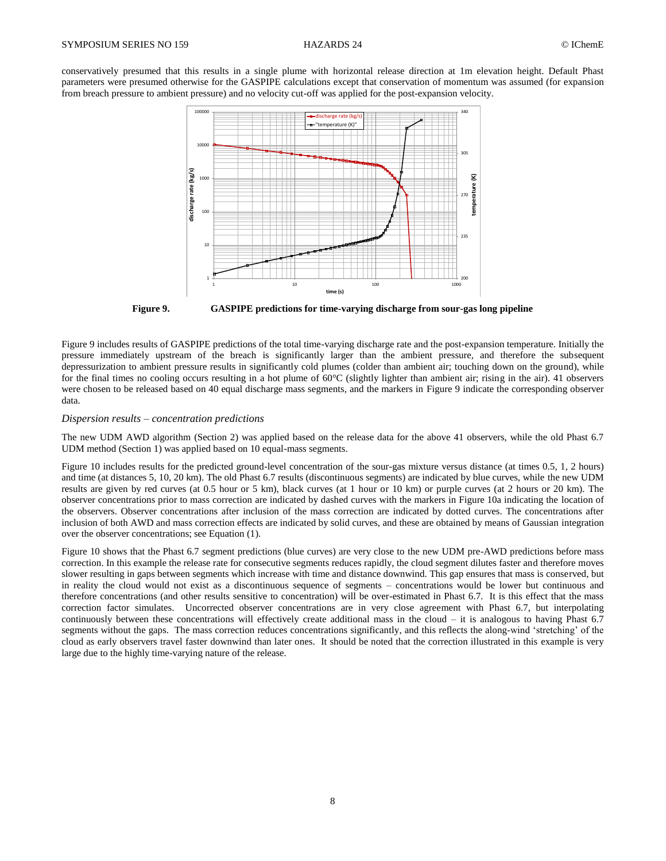conservatively presumed that this results in a single plume with horizontal release direction at 1m elevation height. Default Phast parameters were presumed otherwise for the GASPIPE calculations except that conservation of momentum was assumed (for expansion from breach pressure to ambient pressure) and no velocity cut-off was applied for the post-expansion velocity.



**Figure 9. GASPIPE predictions for time-varying discharge from sour-gas long pipeline**

Figure 9 includes results of GASPIPE predictions of the total time-varying discharge rate and the post-expansion temperature. Initially the pressure immediately upstream of the breach is significantly larger than the ambient pressure, and therefore the subsequent depressurization to ambient pressure results in significantly cold plumes (colder than ambient air; touching down on the ground), while for the final times no cooling occurs resulting in a hot plume of 60°C (slightly lighter than ambient air; rising in the air). 41 observers were chosen to be released based on 40 equal discharge mass segments, and the markers in Figure 9 indicate the corresponding observer data.

### *Dispersion results – concentration predictions*

The new UDM AWD algorithm (Section 2) was applied based on the release data for the above 41 observers, while the old Phast 6.7 UDM method (Section 1) was applied based on 10 equal-mass segments.

Figure 10 includes results for the predicted ground-level concentration of the sour-gas mixture versus distance (at times 0.5, 1, 2 hours) and time (at distances 5, 10, 20 km). The old Phast 6.7 results (discontinuous segments) are indicated by blue curves, while the new UDM results are given by red curves (at 0.5 hour or 5 km), black curves (at 1 hour or 10 km) or purple curves (at 2 hours or 20 km). The observer concentrations prior to mass correction are indicated by dashed curves with the markers in Figure 10a indicating the location of the observers. Observer concentrations after inclusion of the mass correction are indicated by dotted curves. The concentrations after inclusion of both AWD and mass correction effects are indicated by solid curves, and these are obtained by means of Gaussian integration over the observer concentrations; see Equation (1).

Figure 10 shows that the Phast 6.7 segment predictions (blue curves) are very close to the new UDM pre-AWD predictions before mass correction. In this example the release rate for consecutive segments reduces rapidly, the cloud segment dilutes faster and therefore moves slower resulting in gaps between segments which increase with time and distance downwind. This gap ensures that mass is conserved, but in reality the cloud would not exist as a discontinuous sequence of segments – concentrations would be lower but continuous and therefore concentrations (and other results sensitive to concentration) will be over-estimated in Phast 6.7. It is this effect that the mass correction factor simulates. Uncorrected observer concentrations are in very close agreement with Phast 6.7, but interpolating continuously between these concentrations will effectively create additional mass in the cloud – it is analogous to having Phast 6.7 segments without the gaps. The mass correction reduces concentrations significantly, and this reflects the along-wind 'stretching' of the cloud as early observers travel faster downwind than later ones. It should be noted that the correction illustrated in this example is very large due to the highly time-varying nature of the release.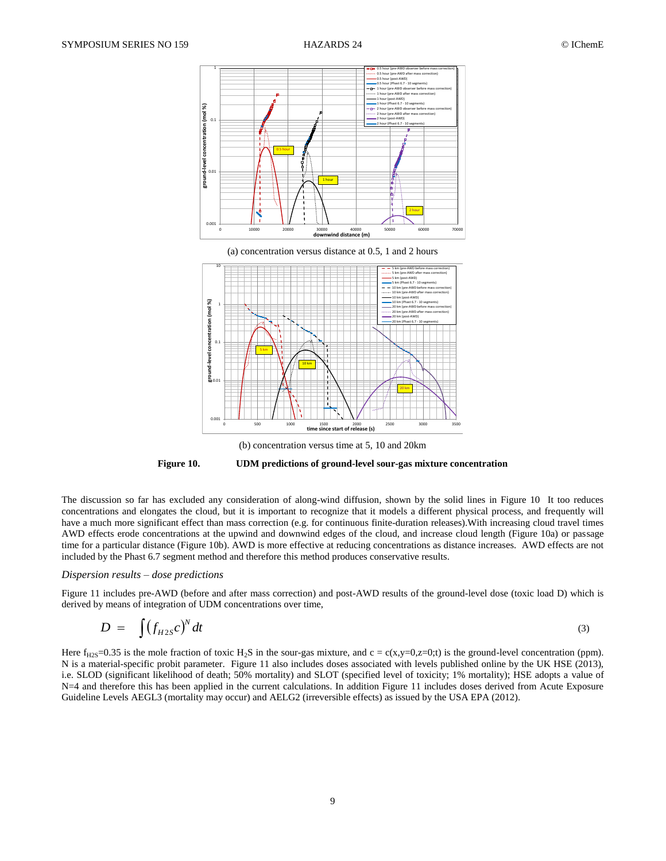

(b) concentration versus time at 5, 10 and 20km

**Figure 10. UDM predictions of ground-level sour-gas mixture concentration**

The discussion so far has excluded any consideration of along-wind diffusion, shown by the solid lines in Figure 10 It too reduces concentrations and elongates the cloud, but it is important to recognize that it models a different physical process, and frequently will have a much more significant effect than mass correction (e.g. for continuous finite-duration releases).With increasing cloud travel times AWD effects erode concentrations at the upwind and downwind edges of the cloud, and increase cloud length (Figure 10a) or passage time for a particular distance (Figure 10b). AWD is more effective at reducing concentrations as distance increases. AWD effects are not included by the Phast 6.7 segment method and therefore this method produces conservative results.

### *Dispersion results – dose predictions*

Figure 11 includes pre-AWD (before and after mass correction) and post-AWD results of the ground-level dose (toxic load D) which is derived by means of integration of UDM concentrations over time,

$$
D = \int (f_{H2S}c)^{N} dt
$$
 (3)

Here  $f_{H2S}$ =0.35 is the mole fraction of toxic H<sub>2</sub>S in the sour-gas mixture, and c = c(x,y=0,z=0;t) is the ground-level concentration (ppm). N is a material-specific probit parameter. Figure 11 also includes doses associated with levels published online by the UK HSE (2013), i.e. SLOD (significant likelihood of death; 50% mortality) and SLOT (specified level of toxicity; 1% mortality); HSE adopts a value of N=4 and therefore this has been applied in the current calculations. In addition Figure 11 includes doses derived from Acute Exposure Guideline Levels AEGL3 (mortality may occur) and AELG2 (irreversible effects) as issued by the USA EPA (2012).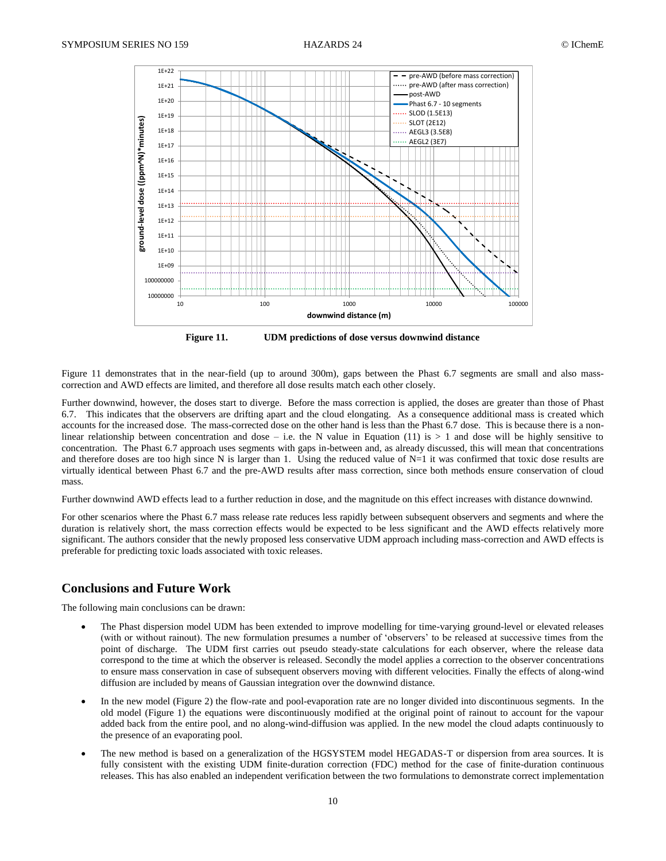

**Figure 11. UDM predictions of dose versus downwind distance**

Figure 11 demonstrates that in the near-field (up to around 300m), gaps between the Phast 6.7 segments are small and also masscorrection and AWD effects are limited, and therefore all dose results match each other closely.

Further downwind, however, the doses start to diverge. Before the mass correction is applied, the doses are greater than those of Phast 6.7. This indicates that the observers are drifting apart and the cloud elongating. As a consequence additional mass is created which accounts for the increased dose. The mass-corrected dose on the other hand is less than the Phast 6.7 dose. This is because there is a nonlinear relationship between concentration and dose – i.e. the N value in Equation (11) is  $> 1$  and dose will be highly sensitive to concentration. The Phast 6.7 approach uses segments with gaps in-between and, as already discussed, this will mean that concentrations and therefore doses are too high since N is larger than 1. Using the reduced value of  $N=1$  it was confirmed that toxic dose results are virtually identical between Phast 6.7 and the pre-AWD results after mass correction, since both methods ensure conservation of cloud mass.

Further downwind AWD effects lead to a further reduction in dose, and the magnitude on this effect increases with distance downwind.

For other scenarios where the Phast 6.7 mass release rate reduces less rapidly between subsequent observers and segments and where the duration is relatively short, the mass correction effects would be expected to be less significant and the AWD effects relatively more significant. The authors consider that the newly proposed less conservative UDM approach including mass-correction and AWD effects is preferable for predicting toxic loads associated with toxic releases.

## **Conclusions and Future Work**

The following main conclusions can be drawn:

- The Phast dispersion model UDM has been extended to improve modelling for time-varying ground-level or elevated releases (with or without rainout). The new formulation presumes a number of 'observers' to be released at successive times from the point of discharge. The UDM first carries out pseudo steady-state calculations for each observer, where the release data correspond to the time at which the observer is released. Secondly the model applies a correction to the observer concentrations to ensure mass conservation in case of subsequent observers moving with different velocities. Finally the effects of along-wind diffusion are included by means of Gaussian integration over the downwind distance.
- In the new model (Figure 2) the flow-rate and pool-evaporation rate are no longer divided into discontinuous segments. In the old model (Figure 1) the equations were discontinuously modified at the original point of rainout to account for the vapour added back from the entire pool, and no along-wind-diffusion was applied. In the new model the cloud adapts continuously to the presence of an evaporating pool.
- The new method is based on a generalization of the HGSYSTEM model HEGADAS-T or dispersion from area sources. It is fully consistent with the existing UDM finite-duration correction (FDC) method for the case of finite-duration continuous releases. This has also enabled an independent verification between the two formulations to demonstrate correct implementation